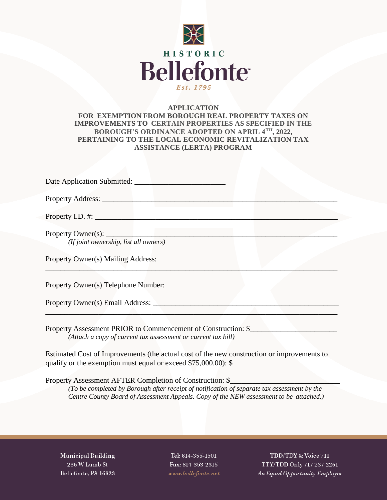

# **APPLICATION FOR EXEMPTION FROM BOROUGH REAL PROPERTY TAXES ON IMPROVEMENTS TO CERTAIN PROPERTIES AS SPECIFIED IN THE BOROUGH'S ORDINANCE ADOPTED ON APRIL 4TH, 2022, PERTAINING TO THE LOCAL ECONOMIC REVITALIZATION TAX ASSISTANCE (LERTA) PROGRAM**

| Date Application Submitted:                                                                                                                                                                                                                       |
|---------------------------------------------------------------------------------------------------------------------------------------------------------------------------------------------------------------------------------------------------|
|                                                                                                                                                                                                                                                   |
| Property I.D. #:                                                                                                                                                                                                                                  |
| (If joint ownership, list all owners)                                                                                                                                                                                                             |
|                                                                                                                                                                                                                                                   |
|                                                                                                                                                                                                                                                   |
| Property Owner(s) Email Address:                                                                                                                                                                                                                  |
| Property Assessment PRIOR to Commencement of Construction: \$<br>(Attach a copy of current tax assessment or current tax bill)                                                                                                                    |
| Estimated Cost of Improvements (the actual cost of the new construction or improvements to<br>qualify or the exemption must equal or exceed \$75,000.00): \$                                                                                      |
| Property Assessment AFTER Completion of Construction: \$<br>(To be completed by Borough after receipt of notification of separate tax assessment by the<br>Centre County Board of Assessment Appeals. Copy of the NEW assessment to be attached.) |
|                                                                                                                                                                                                                                                   |
|                                                                                                                                                                                                                                                   |

**Municipal Building** 236 W Lamb St Bellefonte, PA 16823

Tel: 814-355-1501 Fax: 814-353-2315 www.bellefonte.net

TDD/TDY & Voice 711 TTY/TDD Only 717-237-2261 An Equal Opportunity Employer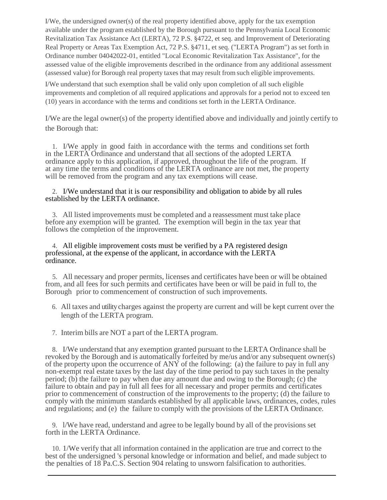I/We, the undersigned owner(s) of the real property identified above, apply for the tax exemption available under the program established by the Borough pursuant to the Pennsylvania Local Economic Revitalization Tax Assistance Act (LERTA), 72 P.S. §4722, et seq. and Improvement of Deteriorating Real Property or Areas Tax Exemption Act, 72 P.S. §4711, et seq. ("LERTA Program") as set forth in Ordinance number 04042022-01, entitled "Local Economic Revitalization Tax Assistance", for the assessed value of the eligible improvements described in the ordinance from any additional assessment (assessed value) for Borough real property taxes that may result from such eligible improvements.

I/We understand that such exemption shall be valid only upon completion of all such eligible improvements and completion of all required applications and approvals for a period not to exceed ten (10) years in accordance with the terms and conditions set forth in the LERTA Ordinance.

I/We are the legal owner(s) of the property identified above and individually and jointly certify to the Borough that:

1. I/We apply in good faith in accordance with the terms and conditions set forth in the LERTA Ordinance and understand that all sections of the adopted LERTA ordinance apply to this application, if approved, throughout the life of the program. If at any time the terms and conditions of the LERTA ordinance are not met, the property will be removed from the program and any tax exemptions will cease.

### 2. I/We understand that it is our responsibility and obligation to abide by all rules established by the LERTA ordinance.

3. All listed improvements must be completed and a reassessment must take place before any exemption will be granted. The exemption will begin in the tax year that follows the completion of the improvement.

4. All eligible improvement costs must be verified by a PA registered design professional, at the expense of the applicant, in accordance with the LERTA ordinance.

5. All necessary and proper permits, licenses and certificates have been or will be obtained from, and all fees for such permits and certificates have been or will be paid in full to, the Borough prior to commencement of construction of such improvements.

- 6. All taxes and utility charges against the property are current and will be kept current over the length of the LERTA program.
- 7. Interim bills are NOT a part of the LERTA program.

8. I/We understand that any exemption granted pursuant to the LERTA Ordinance shall be revoked by the Borough and is automatically forfeited by me/us and/or any subsequent owner(s) of the property upon the occurrence of  $AN\check{Y}$  of the following: (a) the failure to pay in full any non-exempt real estate taxes by the last day of the time period to pay such taxes in the penalty period; (b) the failure to pay when due any amount due and owing to the Borough; (c) the failure to obtain and pay in full all fees for all necessary and proper permits and certificates prior to commencement of construction of the improvements to the property; (d) the failure to comply with the minimum standards established by all applicable laws, ordinances, codes, rules and regulations; and (e) the failure to comply with the provisions of the LERTA Ordinance.

9. l/We have read, understand and agree to be legally bound by all of the provisions set forth in the LERTA Ordinance.

10. 1/We verify that all information contained in the application are true and correct to the best of the undersigned 's personal knowledge or information and belief, and made subject to the penalties of 18 Pa.C.S. Section 904 relating to unsworn falsification to authorities.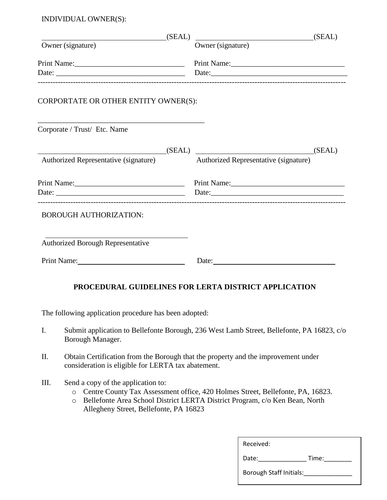INDIVIDUAL OWNER(S):

| (SEAL)                                                                                                                                                                                                                         | $\underbrace{\hspace{2.5cm}}$ (SEAL)                                                                                                                                                                                          |
|--------------------------------------------------------------------------------------------------------------------------------------------------------------------------------------------------------------------------------|-------------------------------------------------------------------------------------------------------------------------------------------------------------------------------------------------------------------------------|
| Owner (signature)                                                                                                                                                                                                              | Owner (signature)                                                                                                                                                                                                             |
|                                                                                                                                                                                                                                |                                                                                                                                                                                                                               |
|                                                                                                                                                                                                                                |                                                                                                                                                                                                                               |
| CORPORTATE OR OTHER ENTITY OWNER(S):                                                                                                                                                                                           |                                                                                                                                                                                                                               |
| Corporate / Trust/ Etc. Name                                                                                                                                                                                                   |                                                                                                                                                                                                                               |
|                                                                                                                                                                                                                                | (SEAL) (SEAL) (SEAL)                                                                                                                                                                                                          |
| <b>Authorized Representative (signature)</b>                                                                                                                                                                                   | Authorized Representative (signature)                                                                                                                                                                                         |
|                                                                                                                                                                                                                                |                                                                                                                                                                                                                               |
|                                                                                                                                                                                                                                | Date: Date: Date: Details and Date: Details and Date: Date: Details and Date: Details and Date: Date: Details and Date: Details and Date: Details and Date: Details and Date: Details and Date: Details and Date: Details and |
| <b>BOROUGH AUTHORIZATION:</b>                                                                                                                                                                                                  |                                                                                                                                                                                                                               |
| Authorized Borough Representative                                                                                                                                                                                              |                                                                                                                                                                                                                               |
| Print Name: Name and Second Second Second Second Second Second Second Second Second Second Second Second Second Second Second Second Second Second Second Second Second Second Second Second Second Second Second Second Secon | Date:                                                                                                                                                                                                                         |
|                                                                                                                                                                                                                                | PROCEDURAL GUIDELINES FOR LERTA DISTRICT APPLICATION                                                                                                                                                                          |
| The following application procedure has been adopted:                                                                                                                                                                          |                                                                                                                                                                                                                               |
| $\mathbf{I}$ .<br>Borough Manager.                                                                                                                                                                                             | Submit application to Bellefonte Borough, 236 West Lamb Street, Bellefonte, PA 16823, c/o                                                                                                                                     |

- II. Obtain Certification from the Borough that the property and the improvement under consideration is eligible for LERTA tax abatement.
- III. Send a copy of the application to:
	- o Centre County Tax Assessment office, 420 Holmes Street, Bellefonte, PA, 16823.
	- o Bellefonte Area School District LERTA District Program, c/o Ken Bean, North Allegheny Street, Bellefonte, PA 16823

| Received:                      |       |  |
|--------------------------------|-------|--|
| Date:                          | Time: |  |
| <b>Borough Staff Initials:</b> |       |  |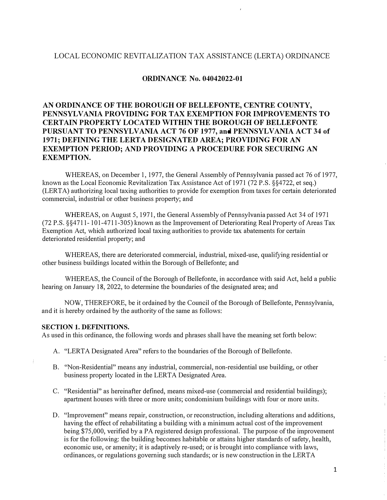# LOCAL ECONOMIC REVITALIZATION TAX ASSISTANCE (LERTA) ORDINANCE

# **ORDINANCE No. 04042022-01**

# **AN ORDINANCE OF THE BOROUGH OF BELLEFONTE, CENTRE COUNTY, PENNSYLVANIA PROVIDING FOR TAX EXEMPTION FOR IMPROVEMENTS TO CERTAIN PROPERTY LOCATED WITHIN THE BOROUGH OF BELLEFONTE PURSUANT TO PENNSYLVANIA ACT 76 OF 1977, and PENNSYLVANIA ACT 34 of 1971; DEFINING THE LERTA DESIGNATED AREA; PROVIDING FOR AN EXEMPTION PERIOD; AND PROVIDING A PROCEDURE FOR SECURING AN EXEMPTION.**

WHEREAS, on December 1, 1977, the General Assembly of Pennsylvania passed act 76 of 1977, known as the Local Economic Revitalization Tax Assistance Act of 1971 (72 P.S. §§4722, et seq.) (LERTA) authorizing local taxing authorities to provide for exemption from taxes for certain deteriorated commercial, industrial or other business property; and

WHEREAS, on August 5, 1971, the General Assembly of Pennsylvania passed Act 34 of 1971  $(72 \text{ P.S. } \frac{884711 - 101 - 4711 - 305}{}$  known as the Improvement of Deteriorating Real Property of Areas Tax Exemption Act, which authorized local taxing authorities to provide tax abatements for certain deteriorated residential property; and

WHEREAS, there are deteriorated commercial, industrial, mixed-use, qualifying residential or other business buildings located within the Borough of Bellefonte; and

WHEREAS, the Council of the Borough of Bellefonte, in accordance with said Act, held a public hearing on January 18, 2022, to determine the boundaries of the designated area; and

NOW, THEREFORE, be it ordained by the Council of the Borough of Bellefonte, Pennsylvania, and it is hereby ordained by the authority of the same as follows:

#### **SECTION 1. DEFINITIONS.**

As used in this ordinance, the following words and phrases shall have the meaning set forth below:

- A. "LERTA Designated Area" refers to the boundaries of the Borough of Bellefonte.
- B. "Non-Residential" means any industrial, commercial, non-residential use building, or other business property located in the LERTA Designated Area.
- C. "Residential" as hereinafter defined, means mixed-use ( commercial and residential buildings); apartment houses with three or more units; condominium buildings with four or more units.
- D. "Improvement" means repair, construction, or reconstruction, including alterations and additions, having the effect of rehabilitating a building with a minimum actual cost of the improvement being \$75,000, verified by a PA registered design professional. The purpose of the improvement is for the following: the building becomes habitable or attains higher standards of safety, health, economic use, or amenity; it is adaptively re-used; or is brought into compliance with laws, ordinances, or regulations governing such standards; or is new construction in the LERTA

1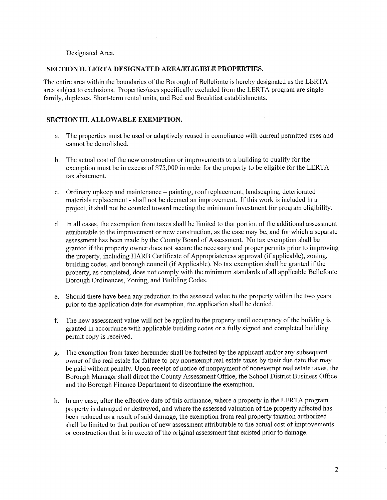### Designated Area.

#### SECTION II. LERTA DESIGNATED AREA/ELIGIBLE PROPERTIES.

The entire area within the boundaries of the Borough of Bellefonte is hereby designated as the LERTA area subject to exclusions. Properties/uses specifically excluded from the LERTA program are singlefamily, duplexes, Short-term rental units, and Bed and Breakfast establishments.

### **SECTION III. ALLOWABLE EXEMPTION.**

- a. The properties must be used or adaptively reused in compliance with current permitted uses and cannot be demolished.
- b. The actual cost of the new construction or improvements to a building to qualify for the exemption must be in excess of \$75,000 in order for the property to be eligible for the LERTA tax abatement.
- c. Ordinary upkeep and maintenance painting, roof replacement, landscaping, deteriorated materials replacement - shall not be deemed an improvement. If this work is included in a project, it shall not be counted toward meeting the minimum investment for program eligibility.
- d. In all cases, the exemption from taxes shall be limited to that portion of the additional assessment attributable to the improvement or new construction, as the case may be, and for which a separate assessment has been made by the County Board of Assessment. No tax exemption shall be granted if the property owner does not secure the necessary and proper permits prior to improving the property, including HARB Certificate of Appropriateness approval (if applicable), zoning, building codes, and borough council (if Applicable). No tax exemption shall be granted if the property, as completed, does not comply with the minimum standards of all applicable Bellefonte Borough Ordinances, Zoning, and Building Codes.
- Should there have been any reduction to the assessed value to the property within the two years  $e_{1}$ prior to the application date for exemption, the application shall be denied.
- The new assessment value will not be applied to the property until occupancy of the building is f. granted in accordance with applicable building codes or a fully signed and completed building permit copy is received.
- The exemption from taxes hereunder shall be forfeited by the applicant and/or any subsequent g. owner of the real estate for failure to pay nonexempt real estate taxes by their due date that may be paid without penalty. Upon receipt of notice of nonpayment of nonexempt real estate taxes, the Borough Manager shall direct the County Assessment Office, the School District Business Office and the Borough Finance Department to discontinue the exemption.
- h. In any case, after the effective date of this ordinance, where a property in the LERTA program property is damaged or destroyed, and where the assessed valuation of the property affected has been reduced as a result of said damage, the exemption from real property taxation authorized shall be limited to that portion of new assessment attributable to the actual cost of improvements or construction that is in excess of the original assessment that existed prior to damage.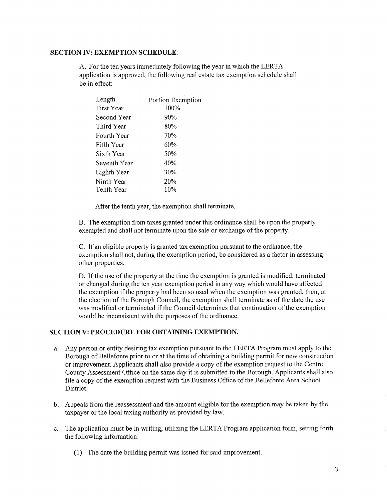### **SECTION IV: EXEMPTION SCHEDULE.**

A. For the ten years immediately following the year in which the LERTA application is approved, the following real estate tax exemption schedule shall be in effect:

| Length       | Portion Exemption |
|--------------|-------------------|
| First Year   | 100%              |
| Second Year  | 90%               |
| Third Year   | 80%               |
| Fourth Year  | 70%               |
| Fifth Year   | 60%               |
| Sixth Year   | 50%               |
| Seventh Year | 40%               |
| Eighth Year  | 30%               |
| Ninth Year   | 20%               |
| Tenth Year   | 10%               |
|              |                   |

After the tenth year, the exemption shall terminate.

B. The exemption from taxes granted under this ordinance shall be upon the property exempted and shall not terminate upon the sale or exchange of the property.

C. If an eligible property is granted tax exemption pursuant to the ordinance, the exemption shall not, during the exemption period, be considered as a factor in assessing other properties.

D. If the use of the property at the time the exemption is granted is modified, terminated or changed during the ten year exemption period in any way which would have affected the exemption if the property had been so used when the exemption was granted, then, at the election of the Borough Council, the exemption shall terminate as of the date the use was modified or terminated if the Council determines that continuation of the exemption would be inconsistent with the purposes of the ordinance.

# SECTION V: PROCEDURE FOR OBTAINING EXEMPTION.

- Any person or entity desiring tax exemption pursuant to the LERTA Program must apply to the a. Borough of Bellefonte prior to or at the time of obtaining a building permit for new construction or improvement. Applicants shall also provide a copy of the exemption request to the Centre County Assessment Office on the same day it is submitted to the Borough. Applicants shall also file a copy of the exemption request with the Business Office of the Bellefonte Area School District.
- b. Appeals from the reassessment and the amount eligible for the exemption may be taken by the taxpayer or the local taxing authority as provided by law.
- c. The application must be in writing, utilizing the LERTA Program application form, setting forth the following information:
	- (1) The date the building permit was issued for said improvement.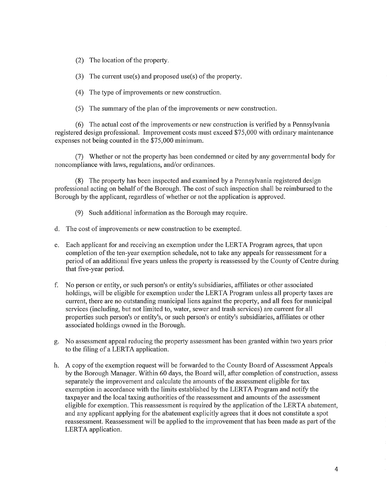- (2) The location of the property.
- (3) The current use(s) and proposed use(s) of the property.
- (4) The type of improvements or new construction.
- (5) The summary of the plan of the improvements or new construction.

(6) The actual cost of the improvements or new construction is verified by a Pennsylvania registered design professional. Improvement costs must exceed \$75,000 with ordinary maintenance expenses not being counted in the \$75,000 minimum.

(7) Whether or not the property has been condemned or cited by any governmental body for noncompliance with laws, regulations, and/or ordinances.

(8) The property has been inspected and examined by a Pennsylvania registered design professional acting on behalf of the Borough. The cost of such inspection shall be reimbursed to the Borough by the applicant, regardless of whether or not the application is approved.

- (9) Such additional information as the Borough may require.
- d. The cost of improvements or new construction to be exempted.
- e. Each applicant for and receiving an exemption under the LERTA Program agrees, that upon completion of the ten-year exemption schedule, not to take any appeals for reassessment for a period of an additional five years unless the property is reassessed by the County of Centre during that five-year period.
- f. No person or entity, or such person's or entity's subsidiaries, affiliates or other associated holdings, will be eligible for exemption under the LERTA Program unless all property taxes are current, there are no outstanding municipal liens against the property, and all fees for municipal services (including, but not limited to, water, sewer and trash services) are current for all properties such person's or entity's, or such person's or entity's subsidiaries, affiliates or other associated holdings owned in the Borough.
- g. No assessment appeal reducing the property assessment has been granted within two years prior to the filing of a LERTA application.
- h. A copy of the exemption request will be forwarded to the County Board of Assessment Appeals by the Borough Manager. Within 60 days, the Board will, after completion of construction, assess separately the improvement and calculate the amounts of the assessment eligible for tax exemption in accordance with the limits established by the LERTA Program and notify the taxpayer and the local taxing authorities of the reassessment and amounts of the assessment eligible for exemption. This reassessment is required by the application of the LERTA abatement, and any applicant applying for the abatement explicitly agrees that it does not constitute a spot reassessment. Reassessment will be applied to the improvement that has been made as part of the LERTA application.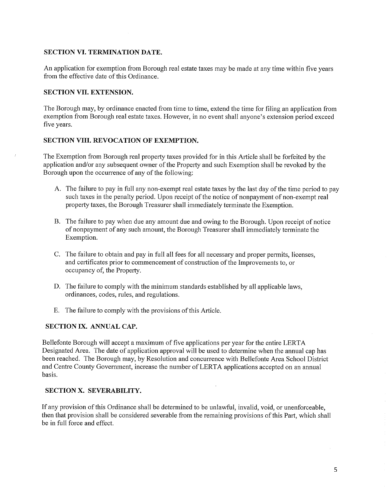### **SECTION VI. TERMINATION DATE.**

An application for exemption from Borough real estate taxes may be made at any time within five years from the effective date of this Ordinance.

### **SECTION VIL EXTENSION.**

 $\bar{J}$ 

The Borough may, by ordinance enacted from time to time, extend the time for filing an application from exemption from Borough real estate taxes. However, in no event shall anyone's extension period exceed five years.

#### **SECTION VIII. REVOCATION OF EXEMPTION.**

The Exemption from Borough real property taxes provided for in this Article shall be forfeited by the application and/or any subsequent owner of the Property and such Exemption shall be revoked by the Borough upon the occurrence of any of the following:

- A. The failure to pay in full any non-exempt real estate taxes by the last day of the time period to pay such taxes in the penalty period. Upon receipt of the notice of nonpayment of non-exempt real property taxes, the Borough Treasurer shall immediately terminate the Exemption.
- B. The failure to pay when due any amount due and owing to the Borough. Upon receipt of notice of nonpayment of any such amount, the Borough Treasurer shall immediately terminate the Exemption.
- C. The failure to obtain and pay in full all fees for all necessary and proper permits, licenses, and certificates prior to commencement of construction of the Improvements to, or occupancy of, the Property.
- D. The failure to comply with the minimum standards established by all applicable laws. ordinances, codes, rules, and regulations.
- E. The failure to comply with the provisions of this Article.

#### SECTION IX. ANNUAL CAP.

Bellefonte Borough will accept a maximum of five applications per year for the entire LERTA Designated Area. The date of application approval will be used to determine when the annual cap has been reached. The Borough may, by Resolution and concurrence with Bellefonte Area School District and Centre County Government, increase the number of LERTA applications accepted on an annual basis.

#### SECTION X. SEVERABILITY.

If any provision of this Ordinance shall be determined to be unlawful, invalid, void, or unenforceable, then that provision shall be considered severable from the remaining provisions of this Part, which shall be in full force and effect.